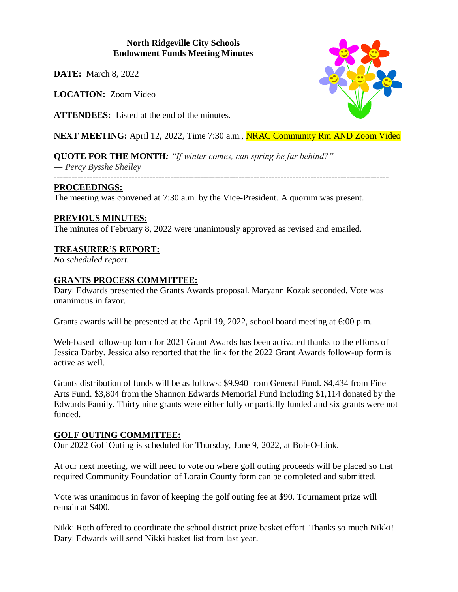#### **North Ridgeville City Schools Endowment Funds Meeting Minutes**

**DATE:** March 8, 2022

**LOCATION:** Zoom Video

**ATTENDEES:** Listed at the end of the minutes.

**NEXT MEETING:** April 12, 2022, Time 7:30 a.m., **NRAC Community Rm AND Zoom Video** 

**QUOTE FOR THE MONTH***: "If winter comes, can spring be far behind?" ― Percy Bysshe Shelley*

*----------------------------------------------------------------------------------------------------------------*

#### **PROCEEDINGS:**

The meeting was convened at 7:30 a.m. by the Vice-President. A quorum was present.

## **PREVIOUS MINUTES:**

The minutes of February 8, 2022 were unanimously approved as revised and emailed.

# **TREASURER'S REPORT:**

*No scheduled report.*

# **GRANTS PROCESS COMMITTEE:**

Daryl Edwards presented the Grants Awards proposal. Maryann Kozak seconded. Vote was unanimous in favor.

Grants awards will be presented at the April 19, 2022, school board meeting at 6:00 p.m.

Web-based follow-up form for 2021 Grant Awards has been activated thanks to the efforts of Jessica Darby. Jessica also reported that the link for the 2022 Grant Awards follow-up form is active as well.

Grants distribution of funds will be as follows: \$9.940 from General Fund. \$4,434 from Fine Arts Fund. \$3,804 from the Shannon Edwards Memorial Fund including \$1,114 donated by the Edwards Family. Thirty nine grants were either fully or partially funded and six grants were not funded.

## **GOLF OUTING COMMITTEE:**

Our 2022 Golf Outing is scheduled for Thursday, June 9, 2022, at Bob-O-Link.

At our next meeting, we will need to vote on where golf outing proceeds will be placed so that required Community Foundation of Lorain County form can be completed and submitted.

Vote was unanimous in favor of keeping the golf outing fee at \$90. Tournament prize will remain at \$400.

Nikki Roth offered to coordinate the school district prize basket effort. Thanks so much Nikki! Daryl Edwards will send Nikki basket list from last year.

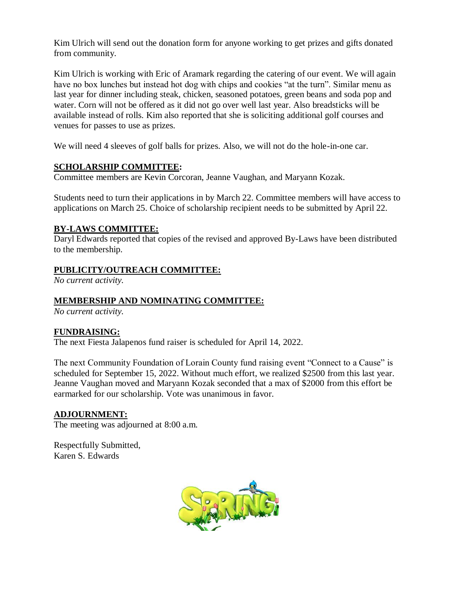Kim Ulrich will send out the donation form for anyone working to get prizes and gifts donated from community.

Kim Ulrich is working with Eric of Aramark regarding the catering of our event. We will again have no box lunches but instead hot dog with chips and cookies "at the turn". Similar menu as last year for dinner including steak, chicken, seasoned potatoes, green beans and soda pop and water. Corn will not be offered as it did not go over well last year. Also breadsticks will be available instead of rolls. Kim also reported that she is soliciting additional golf courses and venues for passes to use as prizes.

We will need 4 sleeves of golf balls for prizes. Also, we will not do the hole-in-one car.

## **SCHOLARSHIP COMMITTEE:**

Committee members are Kevin Corcoran, Jeanne Vaughan, and Maryann Kozak.

Students need to turn their applications in by March 22. Committee members will have access to applications on March 25. Choice of scholarship recipient needs to be submitted by April 22.

## **BY-LAWS COMMITTEE:**

Daryl Edwards reported that copies of the revised and approved By-Laws have been distributed to the membership.

#### **PUBLICITY/OUTREACH COMMITTEE:**

*No current activity.*

#### **MEMBERSHIP AND NOMINATING COMMITTEE:**

*No current activity.*

## **FUNDRAISING:**

The next Fiesta Jalapenos fund raiser is scheduled for April 14, 2022.

The next Community Foundation of Lorain County fund raising event "Connect to a Cause" is scheduled for September 15, 2022. Without much effort, we realized \$2500 from this last year. Jeanne Vaughan moved and Maryann Kozak seconded that a max of \$2000 from this effort be earmarked for our scholarship. Vote was unanimous in favor.

#### **ADJOURNMENT:**

The meeting was adjourned at 8:00 a.m.

Respectfully Submitted, Karen S. Edwards